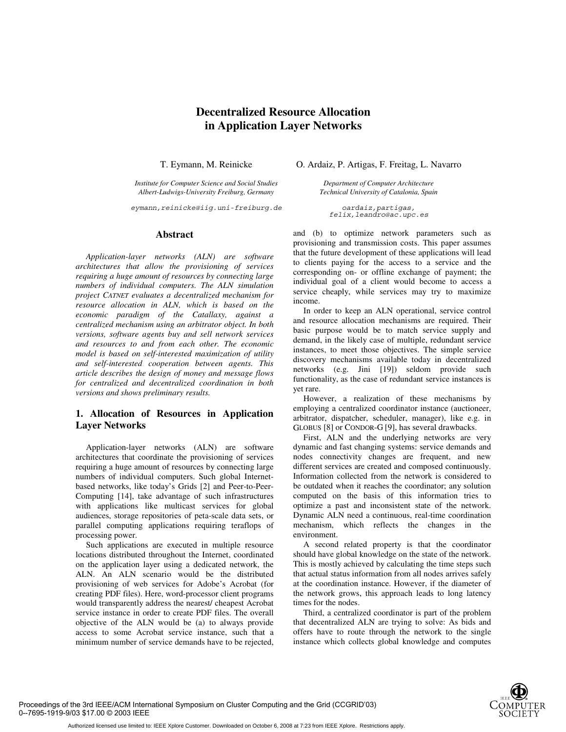# **Decentralized Resource Allocation in Application Layer Networks**

T. Eymann, M. Reinicke

*Institute for Computer Science and Social Studies Albert-Ludwigs-University Freiburg, Germany* 

*eymann,reinicke@iig.uni-freiburg.de*

#### **Abstract**

*Application-layer networks (ALN) are software architectures that allow the provisioning of services requiring a huge amount of resources by connecting large numbers of individual computers. The ALN simulation project CATNET evaluates a decentralized mechanism for resource allocation in ALN, which is based on the economic paradigm of the Catallaxy, against a centralized mechanism using an arbitrator object. In both versions, software agents buy and sell network services and resources to and from each other. The economic model is based on self-interested maximization of utility and self-interested cooperation between agents. This article describes the design of money and message flows for centralized and decentralized coordination in both versions and shows preliminary results.* 

## **1. Allocation of Resources in Application Layer Networks**

Application-layer networks (ALN) are software architectures that coordinate the provisioning of services requiring a huge amount of resources by connecting large numbers of individual computers. Such global Internetbased networks, like today's Grids [2] and Peer-to-Peer-Computing [14], take advantage of such infrastructures with applications like multicast services for global audiences, storage repositories of peta-scale data sets, or parallel computing applications requiring teraflops of processing power.

Such applications are executed in multiple resource locations distributed throughout the Internet, coordinated on the application layer using a dedicated network, the ALN. An ALN scenario would be the distributed provisioning of web services for Adobe's Acrobat (for creating PDF files). Here, word-processor client programs would transparently address the nearest/ cheapest Acrobat service instance in order to create PDF files. The overall objective of the ALN would be (a) to always provide access to some Acrobat service instance, such that a minimum number of service demands have to be rejected, O. Ardaiz, P. Artigas, F. Freitag, L. Navarro

*Department of Computer Architecture Technical University of Catalonia, Spain* 

*oardaiz,partigas, felix,leandro@ac.upc.es*

and (b) to optimize network parameters such as provisioning and transmission costs. This paper assumes that the future development of these applications will lead to clients paying for the access to a service and the corresponding on- or offline exchange of payment; the individual goal of a client would become to access a service cheaply, while services may try to maximize income.

In order to keep an ALN operational, service control and resource allocation mechanisms are required. Their basic purpose would be to match service supply and demand, in the likely case of multiple, redundant service instances, to meet those objectives. The simple service discovery mechanisms available today in decentralized networks (e.g. Jini [19]) seldom provide such functionality, as the case of redundant service instances is yet rare.

However, a realization of these mechanisms by employing a centralized coordinator instance (auctioneer, arbitrator, dispatcher, scheduler, manager), like e.g. in GLOBUS [8] or CONDOR-G [9], has several drawbacks.

First, ALN and the underlying networks are very dynamic and fast changing systems: service demands and nodes connectivity changes are frequent, and new different services are created and composed continuously. Information collected from the network is considered to be outdated when it reaches the coordinator; any solution computed on the basis of this information tries to optimize a past and inconsistent state of the network. Dynamic ALN need a continuous, real-time coordination mechanism, which reflects the changes in the environment.

A second related property is that the coordinator should have global knowledge on the state of the network. This is mostly achieved by calculating the time steps such that actual status information from all nodes arrives safely at the coordination instance. However, if the diameter of the network grows, this approach leads to long latency times for the nodes.

Third, a centralized coordinator is part of the problem that decentralized ALN are trying to solve: As bids and offers have to route through the network to the single instance which collects global knowledge and computes



Proceedings of the 3rd IEEE/ACM International Symposium on Cluster Computing and the Grid (CCGRIDí03) 0--7695-1919-9/03 \$17.00 © 2003 IEEE

Authorized licensed use limited to: IEEE Xplore Customer. Downloaded on October 6, 2008 at 7:23 from IEEE Xplore. Restrictions apply.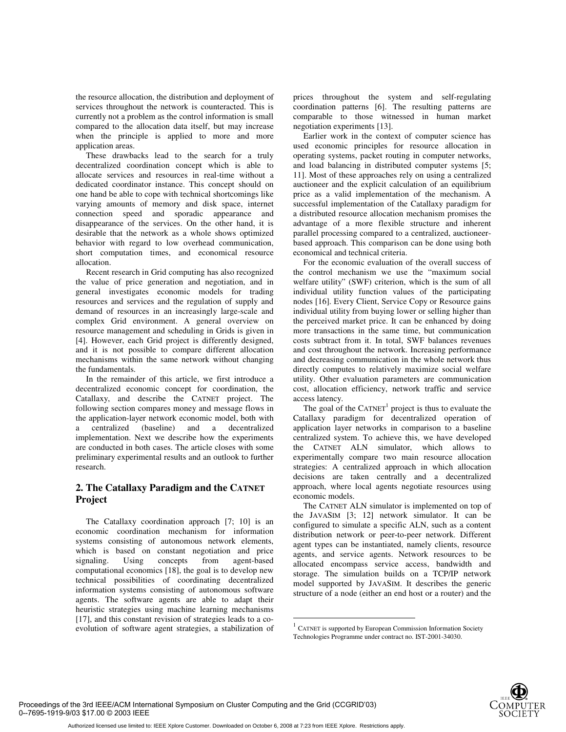the resource allocation, the distribution and deployment of services throughout the network is counteracted. This is currently not a problem as the control information is small compared to the allocation data itself, but may increase when the principle is applied to more and more application areas.

These drawbacks lead to the search for a truly decentralized coordination concept which is able to allocate services and resources in real-time without a dedicated coordinator instance. This concept should on one hand be able to cope with technical shortcomings like varying amounts of memory and disk space, internet connection speed and sporadic appearance and disappearance of the services. On the other hand, it is desirable that the network as a whole shows optimized behavior with regard to low overhead communication, short computation times, and economical resource allocation.

Recent research in Grid computing has also recognized the value of price generation and negotiation, and in general investigates economic models for trading resources and services and the regulation of supply and demand of resources in an increasingly large-scale and complex Grid environment. A general overview on resource management and scheduling in Grids is given in [4]. However, each Grid project is differently designed, and it is not possible to compare different allocation mechanisms within the same network without changing the fundamentals.

In the remainder of this article, we first introduce a decentralized economic concept for coordination, the Catallaxy, and describe the CATNET project. The following section compares money and message flows in the application-layer network economic model, both with a centralized (baseline) and a decentralized implementation. Next we describe how the experiments are conducted in both cases. The article closes with some preliminary experimental results and an outlook to further research.

## **2. The Catallaxy Paradigm and the CATNET Project**

The Catallaxy coordination approach [7; 10] is an economic coordination mechanism for information systems consisting of autonomous network elements, which is based on constant negotiation and price signaling. Using concepts from agent-based computational economics [18], the goal is to develop new technical possibilities of coordinating decentralized information systems consisting of autonomous software agents. The software agents are able to adapt their heuristic strategies using machine learning mechanisms [17], and this constant revision of strategies leads to a coevolution of software agent strategies, a stabilization of prices throughout the system and self-regulating coordination patterns [6]. The resulting patterns are comparable to those witnessed in human market negotiation experiments [13].

Earlier work in the context of computer science has used economic principles for resource allocation in operating systems, packet routing in computer networks, and load balancing in distributed computer systems [5; 11]. Most of these approaches rely on using a centralized auctioneer and the explicit calculation of an equilibrium price as a valid implementation of the mechanism. A successful implementation of the Catallaxy paradigm for a distributed resource allocation mechanism promises the advantage of a more flexible structure and inherent parallel processing compared to a centralized, auctioneerbased approach. This comparison can be done using both economical and technical criteria.

For the economic evaluation of the overall success of the control mechanism we use the "maximum social welfare utility" (SWF) criterion, which is the sum of all individual utility function values of the participating nodes [16]. Every Client, Service Copy or Resource gains individual utility from buying lower or selling higher than the perceived market price. It can be enhanced by doing more transactions in the same time, but communication costs subtract from it. In total, SWF balances revenues and cost throughout the network. Increasing performance and decreasing communication in the whole network thus directly computes to relatively maximize social welfare utility. Other evaluation parameters are communication cost, allocation efficiency, network traffic and service access latency.

The goal of the  $CATNET<sup>1</sup>$  project is thus to evaluate the Catallaxy paradigm for decentralized operation of application layer networks in comparison to a baseline centralized system. To achieve this, we have developed the CATNET ALN simulator, which allows to experimentally compare two main resource allocation strategies: A centralized approach in which allocation decisions are taken centrally and a decentralized approach, where local agents negotiate resources using economic models.

The CATNET ALN simulator is implemented on top of the JAVASIM [3; 12] network simulator. It can be configured to simulate a specific ALN, such as a content distribution network or peer-to-peer network. Different agent types can be instantiated, namely clients, resource agents, and service agents. Network resources to be allocated encompass service access, bandwidth and storage. The simulation builds on a TCP/IP network model supported by JAVASIM. It describes the generic structure of a node (either an end host or a router) and the



<u>.</u>

 $1$  CATNET is supported by European Commission Information Society

Technologies Programme under contract no. IST-2001-34030.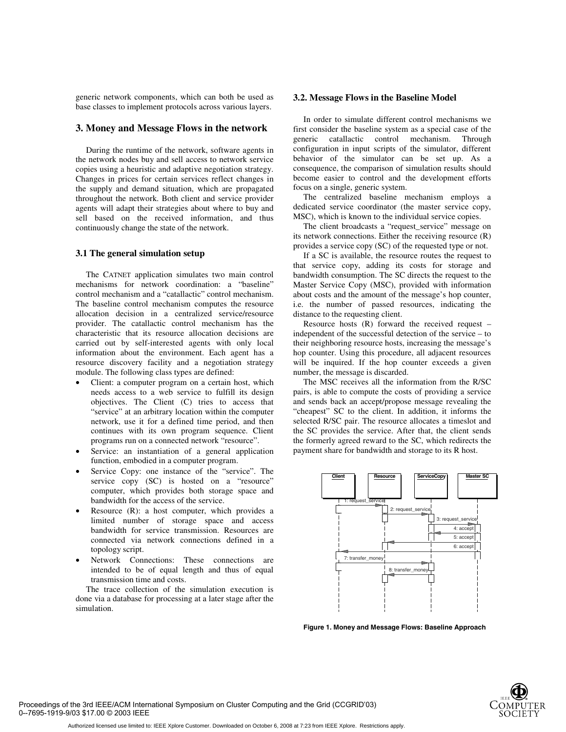generic network components, which can both be used as base classes to implement protocols across various layers.

## **3. Money and Message Flows in the network**

During the runtime of the network, software agents in the network nodes buy and sell access to network service copies using a heuristic and adaptive negotiation strategy. Changes in prices for certain services reflect changes in the supply and demand situation, which are propagated throughout the network. Both client and service provider agents will adapt their strategies about where to buy and sell based on the received information, and thus continuously change the state of the network.

#### **3.1 The general simulation setup**

The CATNET application simulates two main control mechanisms for network coordination: a "baseline" control mechanism and a "catallactic" control mechanism. The baseline control mechanism computes the resource allocation decision in a centralized service/resource provider. The catallactic control mechanism has the characteristic that its resource allocation decisions are carried out by self-interested agents with only local information about the environment. Each agent has a resource discovery facility and a negotiation strategy module. The following class types are defined:

- Client: a computer program on a certain host, which needs access to a web service to fulfill its design objectives. The Client (C) tries to access that "service" at an arbitrary location within the computer network, use it for a defined time period, and then continues with its own program sequence. Client programs run on a connected network "resource".
- Service: an instantiation of a general application function, embodied in a computer program.
- Service Copy: one instance of the "service". The service copy (SC) is hosted on a "resource" computer, which provides both storage space and bandwidth for the access of the service.
- Resource  $(R)$ : a host computer, which provides a limited number of storage space and access bandwidth for service transmission. Resources are connected via network connections defined in a topology script.
- Network Connections: These connections are intended to be of equal length and thus of equal transmission time and costs.

The trace collection of the simulation execution is done via a database for processing at a later stage after the simulation.

#### **3.2. Message Flows in the Baseline Model**

In order to simulate different control mechanisms we first consider the baseline system as a special case of the generic catallactic control mechanism. Through configuration in input scripts of the simulator, different behavior of the simulator can be set up. As a consequence, the comparison of simulation results should become easier to control and the development efforts focus on a single, generic system.

The centralized baseline mechanism employs a dedicated service coordinator (the master service copy, MSC), which is known to the individual service copies.

The client broadcasts a "request\_service" message on its network connections. Either the receiving resource (R) provides a service copy (SC) of the requested type or not.

If a SC is available, the resource routes the request to that service copy, adding its costs for storage and bandwidth consumption. The SC directs the request to the Master Service Copy (MSC), provided with information about costs and the amount of the message's hop counter, i.e. the number of passed resources, indicating the distance to the requesting client.

Resource hosts (R) forward the received request – independent of the successful detection of the service – to their neighboring resource hosts, increasing the message's hop counter. Using this procedure, all adjacent resources will be inquired. If the hop counter exceeds a given number, the message is discarded.

The MSC receives all the information from the R/SC pairs, is able to compute the costs of providing a service and sends back an accept/propose message revealing the "cheapest" SC to the client. In addition, it informs the selected R/SC pair. The resource allocates a timeslot and the SC provides the service. After that, the client sends the formerly agreed reward to the SC, which redirects the payment share for bandwidth and storage to its R host.



**Figure 1. Money and Message Flows: Baseline Approach** 

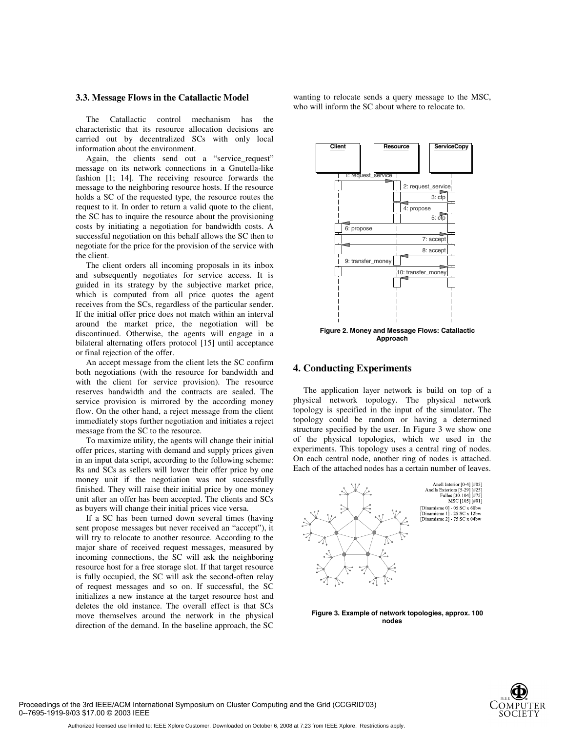#### **3.3. Message Flows in the Catallactic Model**

The Catallactic control mechanism has the characteristic that its resource allocation decisions are carried out by decentralized SCs with only local information about the environment.

Again, the clients send out a "service\_request" message on its network connections in a Gnutella-like fashion [1; 14]. The receiving resource forwards the message to the neighboring resource hosts. If the resource holds a SC of the requested type, the resource routes the request to it. In order to return a valid quote to the client, the SC has to inquire the resource about the provisioning costs by initiating a negotiation for bandwidth costs. A successful negotiation on this behalf allows the SC then to negotiate for the price for the provision of the service with the client.

The client orders all incoming proposals in its inbox and subsequently negotiates for service access. It is guided in its strategy by the subjective market price, which is computed from all price quotes the agent receives from the SCs, regardless of the particular sender. If the initial offer price does not match within an interval around the market price, the negotiation will be discontinued. Otherwise, the agents will engage in a bilateral alternating offers protocol [15] until acceptance or final rejection of the offer.

An accept message from the client lets the SC confirm both negotiations (with the resource for bandwidth and with the client for service provision). The resource reserves bandwidth and the contracts are sealed. The service provision is mirrored by the according money flow. On the other hand, a reject message from the client immediately stops further negotiation and initiates a reject message from the SC to the resource.

To maximize utility, the agents will change their initial offer prices, starting with demand and supply prices given in an input data script, according to the following scheme: Rs and SCs as sellers will lower their offer price by one money unit if the negotiation was not successfully finished. They will raise their initial price by one money unit after an offer has been accepted. The clients and SCs as buyers will change their initial prices vice versa.

If a SC has been turned down several times (having sent propose messages but never received an "accept"), it will try to relocate to another resource. According to the major share of received request messages, measured by incoming connections, the SC will ask the neighboring resource host for a free storage slot. If that target resource is fully occupied, the SC will ask the second-often relay of request messages and so on. If successful, the SC initializes a new instance at the target resource host and deletes the old instance. The overall effect is that SCs move themselves around the network in the physical direction of the demand. In the baseline approach, the SC wanting to relocate sends a query message to the MSC, who will inform the SC about where to relocate to.



**Approach** 

#### **4. Conducting Experiments**

The application layer network is build on top of a physical network topology. The physical network topology is specified in the input of the simulator. The topology could be random or having a determined structure specified by the user. In Figure 3 we show one of the physical topologies, which we used in the experiments. This topology uses a central ring of nodes. On each central node, another ring of nodes is attached. Each of the attached nodes has a certain number of leaves.



**Figure 3. Example of network topologies, approx. 100 nodes** 

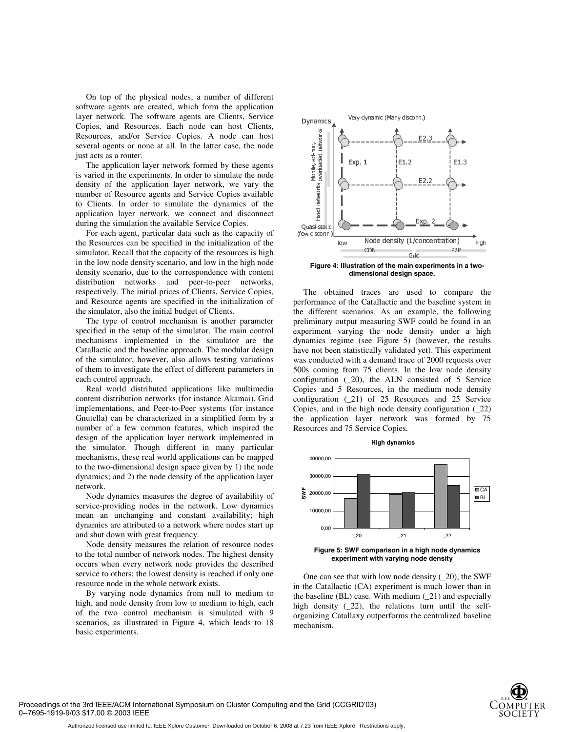On top of the physical nodes, a number of different software agents are created, which form the application layer network. The software agents are Clients, Service Copies, and Resources. Each node can host Clients, Resources, and/or Service Copies. A node can host several agents or none at all. In the latter case, the node just acts as a router.

The application layer network formed by these agents is varied in the experiments. In order to simulate the node density of the application layer network, we vary the number of Resource agents and Service Copies available to Clients. In order to simulate the dynamics of the application layer network, we connect and disconnect during the simulation the available Service Copies.

For each agent, particular data such as the capacity of the Resources can be specified in the initialization of the simulator. Recall that the capacity of the resources is high in the low node density scenario, and low in the high node density scenario, due to the correspondence with content distribution networks and peer-to-peer networks, respectively. The initial prices of Clients, Service Copies, and Resource agents are specified in the initialization of the simulator, also the initial budget of Clients.

The type of control mechanism is another parameter specified in the setup of the simulator. The main control mechanisms implemented in the simulator are the Catallactic and the baseline approach. The modular design of the simulator, however, also allows testing variations of them to investigate the effect of different parameters in each control approach.

Real world distributed applications like multimedia content distribution networks (for instance Akamai), Grid implementations, and Peer-to-Peer systems (for instance Gnutella) can be characterized in a simplified form by a number of a few common features, which inspired the design of the application layer network implemented in the simulator. Though different in many particular mechanisms, these real world applications can be mapped to the two-dimensional design space given by 1) the node dynamics; and 2) the node density of the application layer network.

Node dynamics measures the degree of availability of service-providing nodes in the network. Low dynamics mean an unchanging and constant availability; high dynamics are attributed to a network where nodes start up and shut down with great frequency.

Node density measures the relation of resource nodes to the total number of network nodes. The highest density occurs when every network node provides the described service to others; the lowest density is reached if only one resource node in the whole network exists.

By varying node dynamics from null to medium to high, and node density from low to medium to high, each of the two control mechanism is simulated with 9 scenarios, as illustrated in Figure 4, which leads to 18 basic experiments.



**dimensional design space.** 

 neisted the state of the state of the state of the state of the state of the state of the state of the state of the state of the state of the state of the state of the state of the state of the state of the state of the st tion race catalos. the call of the call of the call of the call of the call of the call of the call of the call of the call of the call of the call of the call of the call of the call of the call of the call of the call of ew disconn.<br>
Figure<br>
The observed is<br>
figure<br>
The observed is<br>
ediffered eliminary<br>
periment conduction<br>
is conduction<br>
of the conduction<br>
solutions<br>
applic<br>
solutions<br>
applic<br>
solutions<br>  $\frac{1}{2}$ <br>
solutions<br>  $\frac{1}{2}$ <br> Figure<br>
Figure The object of the different<br>
reliminary<br>
speciment specification<br>
reliminary<br>
specification<br>
figure is and application<br>
consistency and application<br>
decources a<br>
specific application<br>
specific application<br> CDN<br>
Cind<br>
Illustration of the main experiments in a two-<br>
dimensional design space.<br>
ind traces are used to compare the scenarios. As an example, the following<br>
svarying the node density under a higg<br>
svarying the node d The obtained traces are used to compare the performance of the Catallactic and the baseline system in the different scenarios. As an example, the following preliminary output measuring SWF could be found in an experiment varying the node density under a high dynamics regime (see Figure 5) (however, the results have not been statistically validated yet). This experiment was conducted with a demand trace of 2000 requests over 500s coming from 75 clients. In the low node density configuration (\_20), the ALN consisted of 5 Service Copies and 5 Resources, in the medium node density configuration (\_21) of 25 Resources and 25 Service Copies, and in the high node density configuration  $(22)$ the application layer network was formed by 75 Resources and 75 Service Copies.







One can see that with low node density (\_20), the SWF in the Catallactic (CA) experiment is much lower than in the baseline (BL) case. With medium  $(21)$  and especially high density  $(22)$ , the relations turn until the selforganizing Catallaxy outperforms the centralized baseline mechanism.



Proceedings of the 3rd IEEE/ACM International Symposium on Cluster Computing and the Grid (CCGRID'03) 0--7695-1919-9/03 \$17.00 © 2003 IEEE